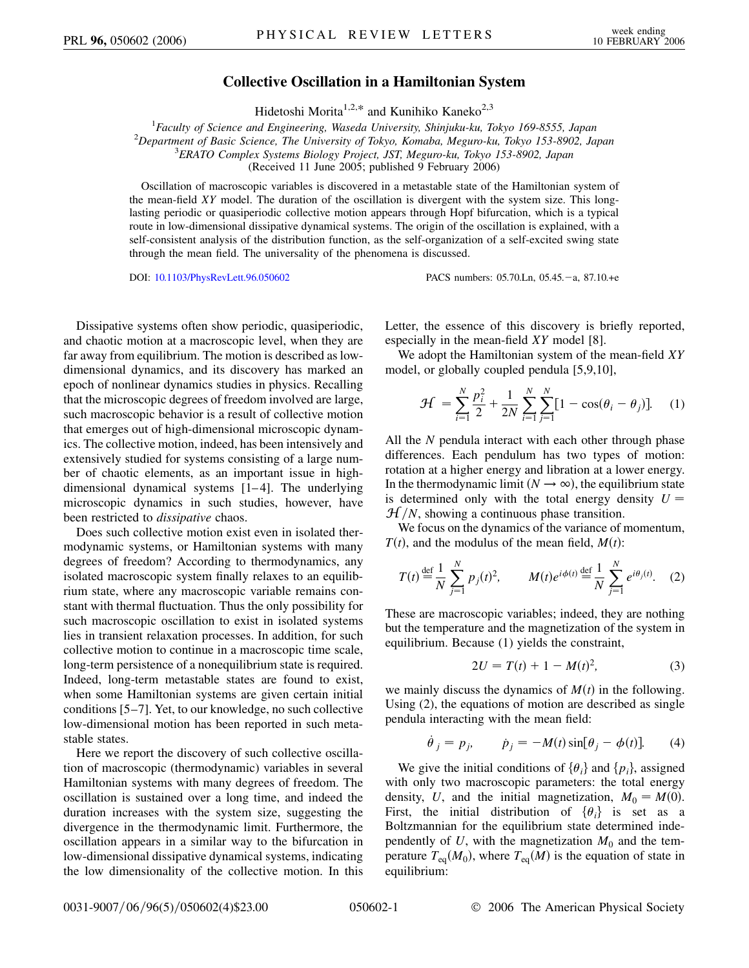## **Collective Oscillation in a Hamiltonian System**

Hidetoshi Morita<sup>1,2,\*</sup> and Kunihiko Kaneko<sup>2,3</sup>

<sup>1</sup> Faculty of Science and Engineering, Waseda University, Shinjuku-ku, Tokyo 169-8555, Japan<br><sup>2</sup> Department of Basic Science, The University of Tokyo, Komaha, Meauro ku, Tokyo 153,8002, Ja *Department of Basic Science, The University of Tokyo, Komaba, Meguro-ku, Tokyo 153-8902, Japan* <sup>3</sup>

*ERATO Complex Systems Biology Project, JST, Meguro-ku, Tokyo 153-8902, Japan*

(Received 11 June 2005; published 9 February 2006)

Oscillation of macroscopic variables is discovered in a metastable state of the Hamiltonian system of the mean-field *XY* model. The duration of the oscillation is divergent with the system size. This longlasting periodic or quasiperiodic collective motion appears through Hopf bifurcation, which is a typical route in low-dimensional dissipative dynamical systems. The origin of the oscillation is explained, with a self-consistent analysis of the distribution function, as the self-organization of a self-excited swing state through the mean field. The universality of the phenomena is discussed.

DOI: [10.1103/PhysRevLett.96.050602](http://dx.doi.org/10.1103/PhysRevLett.96.050602) PACS numbers: 05.70.Ln, 05.45. - a, 87.10.+e

Dissipative systems often show periodic, quasiperiodic, and chaotic motion at a macroscopic level, when they are far away from equilibrium. The motion is described as lowdimensional dynamics, and its discovery has marked an epoch of nonlinear dynamics studies in physics. Recalling that the microscopic degrees of freedom involved are large, such macroscopic behavior is a result of collective motion that emerges out of high-dimensional microscopic dynamics. The collective motion, indeed, has been intensively and extensively studied for systems consisting of a large number of chaotic elements, as an important issue in highdimensional dynamical systems  $[1-4]$ . The underlying microscopic dynamics in such studies, however, have been restricted to *dissipative* chaos.

Does such collective motion exist even in isolated thermodynamic systems, or Hamiltonian systems with many degrees of freedom? According to thermodynamics, any isolated macroscopic system finally relaxes to an equilibrium state, where any macroscopic variable remains constant with thermal fluctuation. Thus the only possibility for such macroscopic oscillation to exist in isolated systems lies in transient relaxation processes. In addition, for such collective motion to continue in a macroscopic time scale, long-term persistence of a nonequilibrium state is required. Indeed, long-term metastable states are found to exist, when some Hamiltonian systems are given certain initial conditions [5–7]. Yet, to our knowledge, no such collective low-dimensional motion has been reported in such metastable states.

Here we report the discovery of such collective oscillation of macroscopic (thermodynamic) variables in several Hamiltonian systems with many degrees of freedom. The oscillation is sustained over a long time, and indeed the duration increases with the system size, suggesting the divergence in the thermodynamic limit. Furthermore, the oscillation appears in a similar way to the bifurcation in low-dimensional dissipative dynamical systems, indicating the low dimensionality of the collective motion. In this Letter, the essence of this discovery is briefly reported, especially in the mean-field *XY* model [8].

We adopt the Hamiltonian system of the mean-field *XY* model, or globally coupled pendula [5,9,10],

$$
\mathcal{H} = \sum_{i=1}^{N} \frac{p_i^2}{2} + \frac{1}{2N} \sum_{i=1}^{N} \sum_{j=1}^{N} [1 - \cos(\theta_i - \theta_j)]. \quad (1)
$$

All the *N* pendula interact with each other through phase differences. Each pendulum has two types of motion: rotation at a higher energy and libration at a lower energy. In the thermodynamic limit  $(N \rightarrow \infty)$ , the equilibrium state is determined only with the total energy density  $U =$  $\mathcal{H}/N$ , showing a continuous phase transition.

We focus on the dynamics of the variance of momentum,  $T(t)$ , and the modulus of the mean field,  $M(t)$ :

$$
T(t) \stackrel{\text{def}}{=} \frac{1}{N} \sum_{j=1}^{N} p_j(t)^2, \qquad M(t) e^{i\phi(t)} \stackrel{\text{def}}{=} \frac{1}{N} \sum_{j=1}^{N} e^{i\theta_j(t)}. \quad (2)
$$

These are macroscopic variables; indeed, they are nothing but the temperature and the magnetization of the system in equilibrium. Because (1) yields the constraint,

$$
2U = T(t) + 1 - M(t)^2,
$$
 (3)

we mainly discuss the dynamics of  $M(t)$  in the following. Using (2), the equations of motion are described as single pendula interacting with the mean field:

$$
\dot{\theta}_j = p_j, \qquad \dot{p}_j = -M(t)\sin[\theta_j - \phi(t)]. \tag{4}
$$

We give the initial conditions of  $\{\theta_i\}$  and  $\{p_i\}$ , assigned with only two macroscopic parameters: the total energy density, *U*, and the initial magnetization,  $M_0 = M(0)$ . First, the initial distribution of  $\{\theta_i\}$  is set as a Boltzmannian for the equilibrium state determined independently of  $U$ , with the magnetization  $M_0$  and the temperature  $T_{eq}(M_0)$ , where  $T_{eq}(M)$  is the equation of state in equilibrium: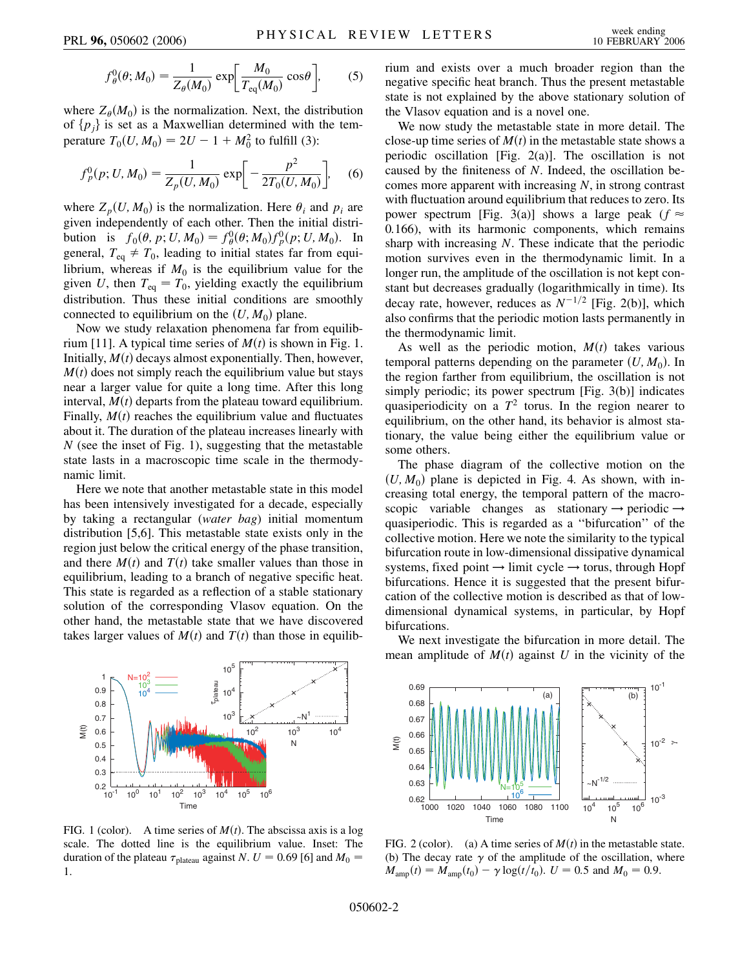$$
f_{\theta}^{0}(\theta; M_0) = \frac{1}{Z_{\theta}(M_0)} \exp\left[\frac{M_0}{T_{\text{eq}}(M_0)} \cos\theta\right],
$$
 (5)

where  $Z_{\theta}(M_0)$  is the normalization. Next, the distribution of  $\{p_i\}$  is set as a Maxwellian determined with the temperature  $T_0(U, M_0) = 2U - 1 + M_0^2$  to fulfill (3):

$$
f_p^0(p; U, M_0) = \frac{1}{Z_p(U, M_0)} \exp\left[-\frac{p^2}{2T_0(U, M_0)}\right], \quad (6)
$$

where  $Z_p(U, M_0)$  is the normalization. Here  $\theta_i$  and  $p_i$  are given independently of each other. Then the initial distribution is  $f_0(\theta, p; U, M_0) = f_\theta^0(\theta; M_0) f_p^0(p; U, M_0)$ . In general,  $T_{eq} \neq T_0$ , leading to initial states far from equilibrium, whereas if  $M_0$  is the equilibrium value for the given *U*, then  $T_{eq} = T_0$ , yielding exactly the equilibrium distribution. Thus these initial conditions are smoothly connected to equilibrium on the  $(U, M_0)$  plane.

Now we study relaxation phenomena far from equilibrium [11]. A typical time series of  $M(t)$  is shown in Fig. 1. Initially,  $M(t)$  decays almost exponentially. Then, however,  $M(t)$  does not simply reach the equilibrium value but stays near a larger value for quite a long time. After this long interval,  $M(t)$  departs from the plateau toward equilibrium. Finally,  $M(t)$  reaches the equilibrium value and fluctuates about it. The duration of the plateau increases linearly with *N* (see the inset of Fig. 1), suggesting that the metastable state lasts in a macroscopic time scale in the thermodynamic limit.

Here we note that another metastable state in this model has been intensively investigated for a decade, especially by taking a rectangular (*water bag*) initial momentum distribution [5,6]. This metastable state exists only in the region just below the critical energy of the phase transition, and there  $M(t)$  and  $T(t)$  take smaller values than those in equilibrium, leading to a branch of negative specific heat. This state is regarded as a reflection of a stable stationary solution of the corresponding Vlasov equation. On the other hand, the metastable state that we have discovered takes larger values of  $M(t)$  and  $T(t)$  than those in equilib-



FIG. 1 (color). A time series of  $M(t)$ . The abscissa axis is a log scale. The dotted line is the equilibrium value. Inset: The duration of the plateau  $\tau_{\text{plateau}}$  against *N*.  $U = 0.69$  [6] and  $M_0 =$ 1.

rium and exists over a much broader region than the negative specific heat branch. Thus the present metastable state is not explained by the above stationary solution of the Vlasov equation and is a novel one.

We now study the metastable state in more detail. The close-up time series of  $M(t)$  in the metastable state shows a periodic oscillation [Fig. 2(a)]. The oscillation is not caused by the finiteness of *N*. Indeed, the oscillation becomes more apparent with increasing *N*, in strong contrast with fluctuation around equilibrium that reduces to zero. Its power spectrum [Fig. 3(a)] shows a large peak ( $f \approx$ 0*:*166), with its harmonic components, which remains sharp with increasing *N*. These indicate that the periodic motion survives even in the thermodynamic limit. In a longer run, the amplitude of the oscillation is not kept constant but decreases gradually (logarithmically in time). Its decay rate, however, reduces as  $N^{-1/2}$  [Fig. 2(b)], which also confirms that the periodic motion lasts permanently in the thermodynamic limit.

As well as the periodic motion,  $M(t)$  takes various temporal patterns depending on the parameter  $(U, M_0)$ . In the region farther from equilibrium, the oscillation is not simply periodic; its power spectrum [Fig. 3(b)] indicates quasiperiodicity on a  $T^2$  torus. In the region nearer to equilibrium, on the other hand, its behavior is almost stationary, the value being either the equilibrium value or some others.

The phase diagram of the collective motion on the  $(U, M_0)$  plane is depicted in Fig. 4. As shown, with increasing total energy, the temporal pattern of the macroscopic variable changes as stationary  $\rightarrow$  periodic  $\rightarrow$ quasiperiodic. This is regarded as a ''bifurcation'' of the collective motion. Here we note the similarity to the typical bifurcation route in low-dimensional dissipative dynamical systems, fixed point  $\rightarrow$  limit cycle  $\rightarrow$  torus, through Hopf bifurcations. Hence it is suggested that the present bifurcation of the collective motion is described as that of lowdimensional dynamical systems, in particular, by Hopf bifurcations.

We next investigate the bifurcation in more detail. The mean amplitude of  $M(t)$  against U in the vicinity of the



FIG. 2 (color). (a) A time series of  $M(t)$  in the metastable state. (b) The decay rate  $\gamma$  of the amplitude of the oscillation, where  $M_{\text{amp}}(t) = M_{\text{amp}}(t_0) - \gamma \log(t/t_0)$ .  $U = 0.5$  and  $M_0 = 0.9$ .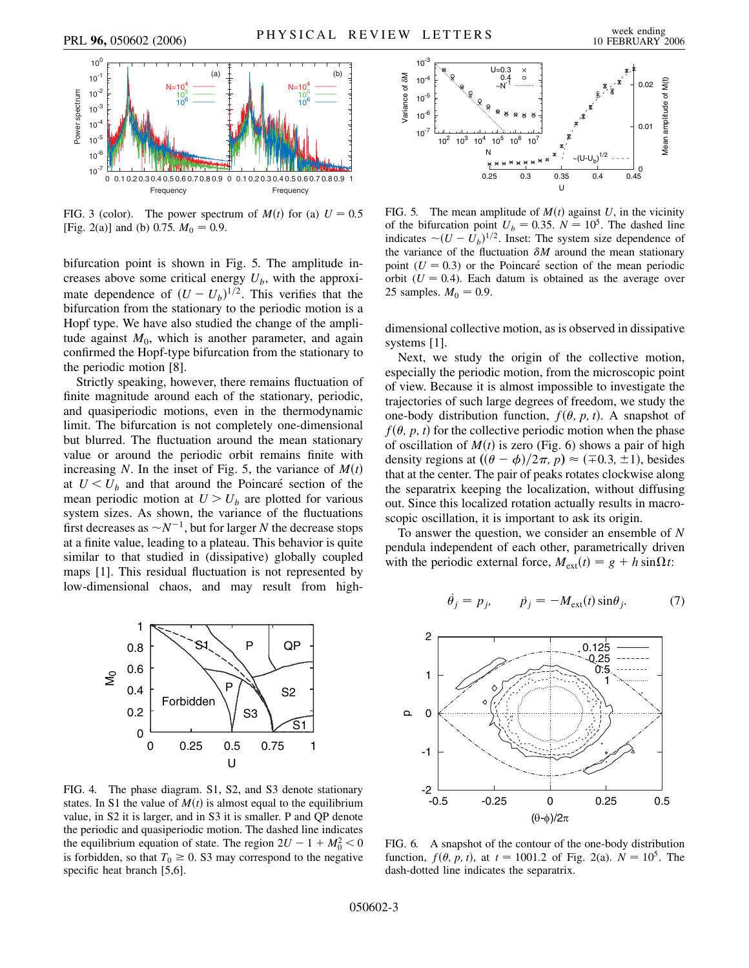

FIG. 3 (color). The power spectrum of  $M(t)$  for (a)  $U = 0.5$ [Fig. 2(a)] and (b) 0.75.  $M_0 = 0.9$ .

bifurcation point is shown in Fig. 5. The amplitude increases above some critical energy  $U_b$ , with the approximate dependence of  $(U - U_b)^{1/2}$ . This verifies that the bifurcation from the stationary to the periodic motion is a Hopf type. We have also studied the change of the amplitude against  $M_0$ , which is another parameter, and again confirmed the Hopf-type bifurcation from the stationary to the periodic motion [8].

Strictly speaking, however, there remains fluctuation of finite magnitude around each of the stationary, periodic, and quasiperiodic motions, even in the thermodynamic limit. The bifurcation is not completely one-dimensional but blurred. The fluctuation around the mean stationary value or around the periodic orbit remains finite with increasing *N*. In the inset of Fig. 5, the variance of  $M(t)$ at  $U \leq U_b$  and that around the Poincaré section of the mean periodic motion at  $U > U_b$  are plotted for various system sizes. As shown, the variance of the fluctuations first decreases as  $\sim N^{-1}$ , but for larger *N* the decrease stops at a finite value, leading to a plateau. This behavior is quite similar to that studied in (dissipative) globally coupled maps [1]. This residual fluctuation is not represented by low-dimensional chaos, and may result from high-



FIG. 4. The phase diagram. S1, S2, and S3 denote stationary states. In S1 the value of  $M(t)$  is almost equal to the equilibrium value, in S2 it is larger, and in S3 it is smaller. P and QP denote the periodic and quasiperiodic motion. The dashed line indicates the equilibrium equation of state. The region  $2U - 1 + M_0^2 < 0$ is forbidden, so that  $T_0 \ge 0$ . S3 may correspond to the negative specific heat branch [5,6].



FIG. 5. The mean amplitude of  $M(t)$  against U, in the vicinity of the bifurcation point  $U_b = 0.35$ .  $N = 10^5$ . The dashed line indicates  $\sim (U - U_b)^{1/2}$ . Inset: The system size dependence of the variance of the fluctuation  $\delta M$  around the mean stationary point  $(U = 0.3)$  or the Poincaré section of the mean periodic orbit  $(U = 0.4)$ . Each datum is obtained as the average over 25 samples.  $M_0 = 0.9$ .

dimensional collective motion, as is observed in dissipative systems [1].

Next, we study the origin of the collective motion, especially the periodic motion, from the microscopic point of view. Because it is almost impossible to investigate the trajectories of such large degrees of freedom, we study the one-body distribution function,  $f(\theta, p, t)$ . A snapshot of  $f(\theta, p, t)$  for the collective periodic motion when the phase of oscillation of  $M(t)$  is zero (Fig. 6) shows a pair of high density regions at  $((\theta - \phi)/2\pi, p) \approx (\mp 0.3, \pm 1)$ , besides that at the center. The pair of peaks rotates clockwise along the separatrix keeping the localization, without diffusing out. Since this localized rotation actually results in macroscopic oscillation, it is important to ask its origin.

To answer the question, we consider an ensemble of *N* pendula independent of each other, parametrically driven with the periodic external force,  $M_{ext}(t) = g + h \sin \Omega t$ :

 $\overline{1}$ 

$$
\dot{\theta}_j = p_j, \qquad \dot{p}_j = -M_{\text{ext}}(t)\sin\theta_j. \tag{7}
$$



FIG. 6. A snapshot of the contour of the one-body distribution function,  $f(\theta, p, t)$ , at  $t = 1001.2$  of Fig. 2(a).  $N = 10^5$ . The dash-dotted line indicates the separatrix.